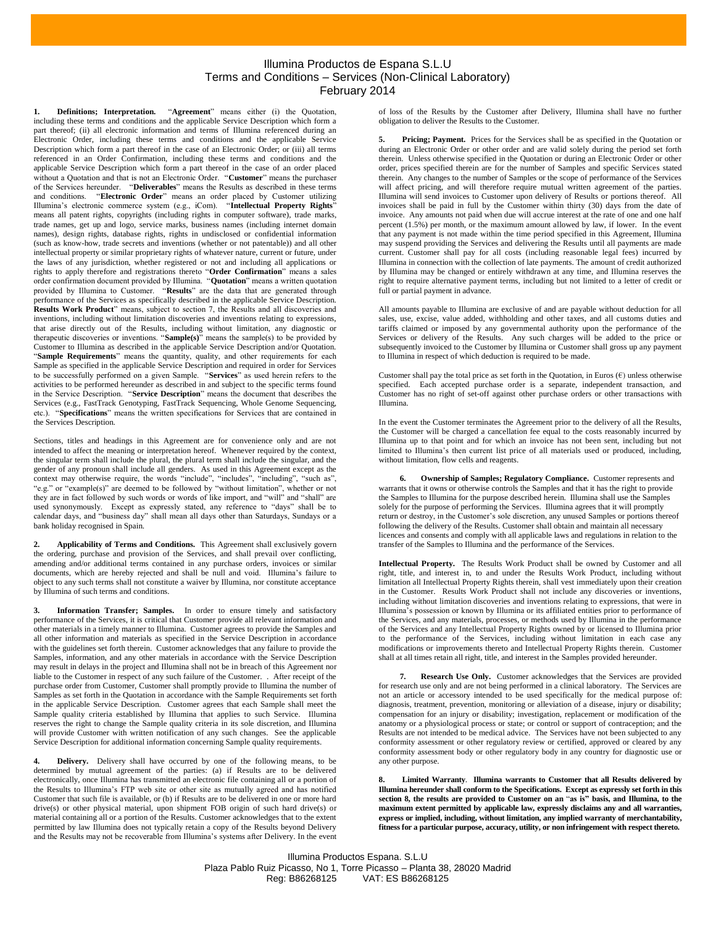## Illumina Productos de Espana S.L.U Terms and Conditions – Services (Non-Clinical Laboratory) February 2014

**1. Definitions; Interpretation.** "**Agreement**" means either (i) the Quotation, including these terms and conditions and the applicable Service Description which form a part thereof; (ii) all electronic information and terms of Illumina referenced during an Electronic Order, including these terms and conditions and the applicable Service Description which form a part thereof in the case of an Electronic Order; or (iii) all terms referenced in an Order Confirmation, including these terms and conditions and the applicable Service Description which form a part thereof in the case of an order placed without a Quotation and that is not an Electronic Order. "**Customer**" means the purchaser of the Services hereunder. "**Deliverables**" means the Results as described in these terms and conditions. "**Electronic Order**" means an order placed by Customer utilizing Illumina's electronic commerce system (e.g., iCom). "**Intellectual Property Rights**" means all patent rights, copyrights (including rights in computer software), trade marks, trade names, get up and logo, service marks, business names (including internet domain names), design rights, database rights, rights in undisclosed or confidential information (such as know-how, trade secrets and inventions (whether or not patentable)) and all other intellectual property or similar proprietary rights of whatever nature, current or future, under the laws of any jurisdiction, whether registered or not and including all applications or rights to apply therefore and registrations thereto "**Order Confirmation**" means a sales order confirmation document provided by Illumina. "**Quotation**" means a written quotation provided by Illumina to Customer. "**Results**" are the data that are generated through performance of the Services as specifically described in the applicable Service Description. **Results Work Product**" means, subject to section 7, the Results and all discoveries and inventions, including without limitation discoveries and inventions relating to expressions, that arise directly out of the Results, including without limitation, any diagnostic or therapeutic discoveries or inventions. "**Sample(s)**" means the sample(s) to be provided by Customer to Illumina as described in the applicable Service Description and/or Quotation. "**Sample Requirements**" means the quantity, quality, and other requirements for each Sample as specified in the applicable Service Description and required in order for Services to be successfully performed on a given Sample. "**Services**" as used herein refers to the activities to be performed hereunder as described in and subject to the specific terms found in the Service Description. "**Service Description**" means the document that describes the Services (e.g., FastTrack Genotyping, FastTrack Sequencing, Whole Genome Sequencing, etc.). "**Specifications**" means the written specifications for Services that are contained in the Services Description.

Sections, titles and headings in this Agreement are for convenience only and are not intended to affect the meaning or interpretation hereof. Whenever required by the context, the singular term shall include the plural, the plural term shall include the singular, and the gender of any pronoun shall include all genders. As used in this Agreement except as the context may otherwise require, the words "include", "includes", "including", "such as", "e.g." or "example(s)" are deemed to be followed by "without limitation", whether or not they are in fact followed by such words or words of like import, and "will" and "shall" are used synonymously. Except as expressly stated, any reference to "days" shall be to calendar days, and "business day" shall mean all days other than Saturdays, Sundays or a bank holiday recognised in Spain.

**2. Applicability of Terms and Conditions.** This Agreement shall exclusively govern the ordering, purchase and provision of the Services, and shall prevail over conflicting, amending and/or additional terms contained in any purchase orders, invoices or similar documents, which are hereby rejected and shall be null and void. Illumina's failure to object to any such terms shall not constitute a waiver by Illumina, nor constitute acceptance by Illumina of such terms and conditions.

**3. Information Transfer; Samples.** In order to ensure timely and satisfactory performance of the Services, it is critical that Customer provide all relevant information and other materials in a timely manner to Illumina. Customer agrees to provide the Samples and all other information and materials as specified in the Service Description in accordance with the guidelines set forth therein. Customer acknowledges that any failure to provide the Samples, information, and any other materials in accordance with the Service Description may result in delays in the project and Illumina shall not be in breach of this Agreement nor liable to the Customer in respect of any such failure of the Customer. . After receipt of the purchase order from Customer, Customer shall promptly provide to Illumina the number of Samples as set forth in the Quotation in accordance with the Sample Requirements set forth in the applicable Service Description. Customer agrees that each Sample shall meet the Sample quality criteria established by Illumina that applies to such Service. Illumina reserves the right to change the Sample quality criteria in its sole discretion, and Illumina will provide Customer with written notification of any such changes. See the applicable Service Description for additional information concerning Sample quality requirements.

**4. Delivery.** Delivery shall have occurred by one of the following means, to be determined by mutual agreement of the parties: (a) if Results are to be delivered electronically, once Illumina has transmitted an electronic file containing all or a portion of the Results to Illumina's FTP web site or other site as mutually agreed and has notified Customer that such file is available, or (b) if Results are to be delivered in one or more hard drive(s) or other physical material, upon shipment FOB origin of such hard drive(s) or material containing all or a portion of the Results. Customer acknowledges that to the extent permitted by law Illumina does not typically retain a copy of the Results beyond Delivery and the Results may not be recoverable from Illumina's systems after Delivery. In the event

of loss of the Results by the Customer after Delivery, Illumina shall have no further obligation to deliver the Results to the Customer.

**5. Pricing; Payment.** Prices for the Services shall be as specified in the Quotation or during an Electronic Order or other order and are valid solely during the period set forth therein. Unless otherwise specified in the Quotation or during an Electronic Order or other order, prices specified therein are for the number of Samples and specific Services stated therein. Any changes to the number of Samples or the scope of performance of the Services will affect pricing, and will therefore require mutual written agreement of the parties. Illumina will send invoices to Customer upon delivery of Results or portions thereof. All invoices shall be paid in full by the Customer within thirty (30) days from the date of invoice. Any amounts not paid when due will accrue interest at the rate of one and one half percent (1.5%) per month, or the maximum amount allowed by law, if lower. In the event that any payment is not made within the time period specified in this Agreement, Illumina may suspend providing the Services and delivering the Results until all payments are made current. Customer shall pay for all costs (including reasonable legal fees) incurred by Illumina in connection with the collection of late payments. The amount of credit authorized by Illumina may be changed or entirely withdrawn at any time, and Illumina reserves the right to require alternative payment terms, including but not limited to a letter of credit or full or partial payment in advance.

All amounts payable to Illumina are exclusive of and are payable without deduction for all sales, use, excise, value added, withholding and other taxes, and all customs duties and tariffs claimed or imposed by any governmental authority upon the performance of the Services or delivery of the Results. Any such charges will be added to the price or subsequently invoiced to the Customer by Illumina or Customer shall gross up any payment to Illumina in respect of which deduction is required to be made.

Customer shall pay the total price as set forth in the Quotation, in Euros  $(\epsilon)$  unless otherwise specified. Each accepted purchase order is a separate, independent transaction, and Customer has no right of set-off against other purchase orders or other transactions with Illumina.

In the event the Customer terminates the Agreement prior to the delivery of all the Results, the Customer will be charged a cancellation fee equal to the costs reasonably incurred by Illumina up to that point and for which an invoice has not been sent, including but not limited to Illumina's then current list price of all materials used or produced, including, without limitation, flow cells and reagents.

**6. Ownership of Samples; Regulatory Compliance.** Customer represents and warrants that it owns or otherwise controls the Samples and that it has the right to provide the Samples to Illumina for the purpose described herein. Illumina shall use the Samples solely for the purpose of performing the Services. Illumina agrees that it will promptly return or destroy, in the Customer's sole discretion, any unused Samples or portions thereof following the delivery of the Results. Customer shall obtain and maintain all necessary licences and consents and comply with all applicable laws and regulations in relation to the transfer of the Samples to Illumina and the performance of the Services.

**Intellectual Property.** The Results Work Product shall be owned by Customer and all right, title, and interest in, to and under the Results Work Product, including without limitation all Intellectual Property Rights therein, shall vest immediately upon their creation in the Customer. Results Work Product shall not include any discoveries or inventions, including without limitation discoveries and inventions relating to expressions, that were in Illumina's possession or known by Illumina or its affiliated entities prior to performance of the Services, and any materials, processes, or methods used by Illumina in the performance of the Services and any Intellectual Property Rights owned by or licensed to Illumina prior to the performance of the Services, including without limitation in each case any modifications or improvements thereto and Intellectual Property Rights therein. Customer shall at all times retain all right, title, and interest in the Samples provided hereunder.

**7. Research Use Only.** Customer acknowledges that the Services are provided for research use only and are not being performed in a clinical laboratory. The Services are not an article or accessory intended to be used specifically for the medical purpose of: diagnosis, treatment, prevention, monitoring or alleviation of a disease, injury or disability; compensation for an injury or disability; investigation, replacement or modification of the anatomy or a physiological process or state; or control or support of contraception; and the Results are not intended to be medical advice. The Services have not been subjected to any conformity assessment or other regulatory review or certified, approved or cleared by any conformity assessment body or other regulatory body in any country for diagnostic use or any other purpose.

<span id="page-0-0"></span>**8. Limited Warranty**. **Illumina warrants to Customer that all Results delivered by Illumina hereunder shall conform to the Specifications. Except as expressly set forth in this section [8,](#page-0-0) the results are provided to Customer on an** "**as is" basis, and Illumina, to the maximum extent permitted by applicable law, expressly disclaims any and all warranties, express or implied, including, without limitation, any implied warranty of merchantability, fitness for a particular purpose, accuracy, utility, or non infringement with respect thereto.**

Illumina Productos Espana. S.L.U Plaza Pablo Ruiz Picasso, No 1, Torre Picasso – Planta 38, 28020 Madrid Reg: B86268125 VAT: ES B86268125